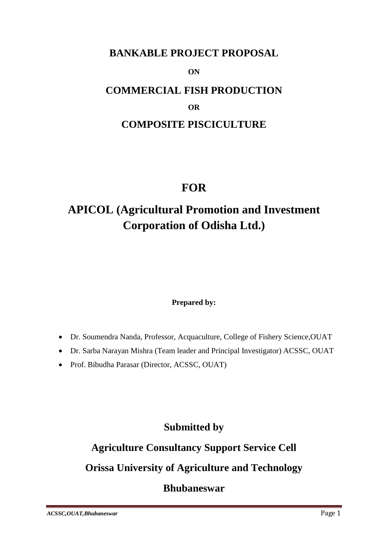## **BANKABLE PROJECT PROPOSAL**

**ON**

# **COMMERCIAL FISH PRODUCTION OR COMPOSITE PISCICULTURE**

# **FOR**

# **APICOL (Agricultural Promotion and Investment Corporation of Odisha Ltd.)**

### **Prepared by:**

- Dr. Soumendra Nanda, Professor, Acquaculture, College of Fishery Science,OUAT
- Dr. Sarba Narayan Mishra (Team leader and Principal Investigator) ACSSC, OUAT
- Prof. Bibudha Parasar (Director, ACSSC, OUAT)

**Submitted by**

# **Agriculture Consultancy Support Service Cell**

# **Orissa University of Agriculture and Technology**

# **Bhubaneswar**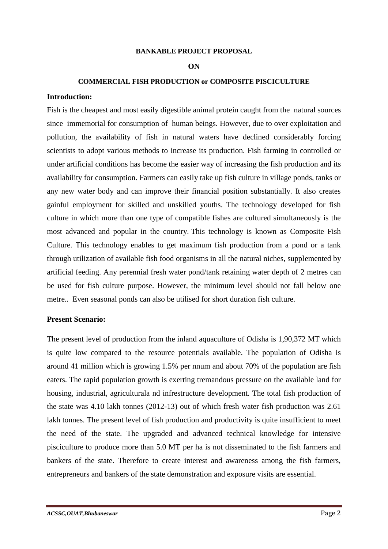#### **BANKABLE PROJECT PROPOSAL**

#### **ON**

#### **COMMERCIAL FISH PRODUCTION or COMPOSITE PISCICULTURE**

#### **Introduction:**

Fish is the cheapest and most easily digestible animal protein caught from the natural sources since immemorial for consumption of human beings. However, due to over exploitation and pollution, the availability of fish in natural waters have declined considerably forcing scientists to adopt various methods to increase its production. Fish farming in controlled or under artificial conditions has become the easier way of increasing the fish production and its availability for consumption. Farmers can easily take up fish culture in village ponds, tanks or any new water body and can improve their financial position substantially. It also creates gainful employment for skilled and unskilled youths. The technology developed for fish culture in which more than one type of compatible fishes are cultured simultaneously is the most advanced and popular in the country. This technology is known as Composite Fish Culture. This technology enables to get maximum fish production from a pond or a tank through utilization of available fish food organisms in all the natural niches, supplemented by artificial feeding. Any perennial fresh water pond/tank retaining water depth of 2 metres can be used for fish culture purpose. However, the minimum level should not fall below one metre.. Even seasonal ponds can also be utilised for short duration fish culture.

#### **Present Scenario:**

The present level of production from the inland aquaculture of Odisha is 1,90,372 MT which is quite low compared to the resource potentials available. The population of Odisha is around 41 million which is growing 1.5% per nnum and about 70% of the population are fish eaters. The rapid population growth is exerting tremandous pressure on the available land for housing, industrial, agriculturala nd infrestructure development. The total fish production of the state was 4.10 lakh tonnes (2012-13) out of which fresh water fish production was 2.61 lakh tonnes. The present level of fish production and productivity is quite insufficient to meet the need of the state. The upgraded and advanced technical knowledge for intensive pisciculture to produce more than 5.0 MT per ha is not disseminated to the fish farmers and bankers of the state. Therefore to create interest and awareness among the fish farmers, entrepreneurs and bankers of the state demonstration and exposure visits are essential.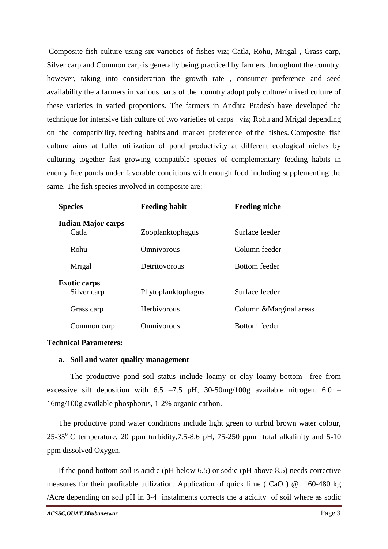Composite fish culture using six varieties of fishes viz; Catla, Rohu, Mrigal , Grass carp, Silver carp and Common carp is generally being practiced by farmers throughout the country, however, taking into consideration the growth rate , consumer preference and seed availability the a farmers in various parts of the country adopt poly culture/ mixed culture of these varieties in varied proportions. The farmers in Andhra Pradesh have developed the technique for intensive fish culture of two varieties of carps viz; Rohu and Mrigal depending on the compatibility, feeding habits and market preference of the fishes. Composite fish culture aims at fuller utilization of pond productivity at different ecological niches by culturing together fast growing compatible species of complementary feeding habits in enemy free ponds under favorable conditions with enough food including supplementing the same. The fish species involved in composite are:

| <b>Species</b>                     | <b>Feeding habit</b> | <b>Feeding niche</b>    |
|------------------------------------|----------------------|-------------------------|
| <b>Indian Major carps</b><br>Catla | Zooplanktophagus     | Surface feeder          |
| Rohu                               | Omnivorous           | Column feeder           |
| Mrigal                             | Detritovorous        | Bottom feeder           |
| <b>Exotic carps</b><br>Silver carp | Phytoplanktophagus   | Surface feeder          |
| Grass carp                         | <b>Herbivorous</b>   | Column & Marginal areas |
| Common carp                        | Omnivorous           | <b>Bottom</b> feeder    |

#### **Technical Parameters:**

#### **a. Soil and water quality management**

The productive pond soil status include loamy or clay loamy bottom free from excessive silt deposition with  $6.5 -7.5$  pH,  $30-50$ mg/100g available nitrogen,  $6.0 -$ 16mg/100g available phosphorus, 1-2% organic carbon.

The productive pond water conditions include light green to turbid brown water colour,  $25-35^{\circ}$  C temperature, 20 ppm turbidity, 7.5-8.6 pH, 75-250 ppm total alkalinity and 5-10 ppm dissolved Oxygen.

If the pond bottom soil is acidic (pH below 6.5) or sodic (pH above 8.5) needs corrective measures for their profitable utilization. Application of quick lime ( CaO ) @ 160-480 kg /Acre depending on soil pH in 3-4 instalments corrects the a acidity of soil where as sodic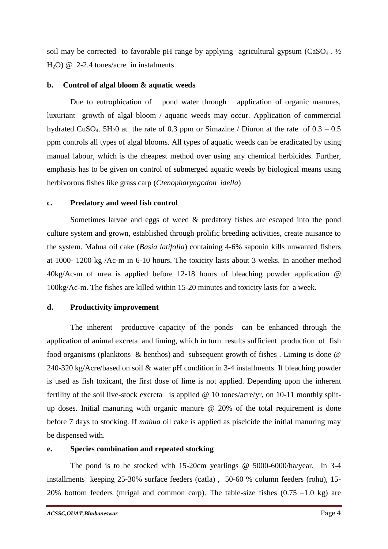soil may be corrected to favorable pH range by applying agricultural gypsum ( $CaSO<sub>4</sub>$   $\frac{1}{2}$ )  $H<sub>2</sub>O$ ) @ 2-2.4 tones/acre in instalments.

#### **b. Control of algal bloom & aquatic weeds**

Due to eutrophication of pond water through application of organic manures, luxuriant growth of algal bloom / aquatic weeds may occur. Application of commercial hydrated CuSO<sub>4</sub>. 5H<sub>2</sub>O at the rate of 0.3 ppm or Simazine / Diuron at the rate of  $0.3 - 0.5$ ppm controls all types of algal blooms. All types of aquatic weeds can be eradicated by using manual labour, which is the cheapest method over using any chemical herbicides. Further, emphasis has to be given on control of submerged aquatic weeds by biological means using herbivorous fishes like grass carp (*Ctenopharyngodon idella*)

#### **c. Predatory and weed fish control**

Sometimes larvae and eggs of weed & predatory fishes are escaped into the pond culture system and grown, established through prolific breeding activities, create nuisance to the system. Mahua oil cake (*Basia latifolia*) containing 4-6% saponin kills unwanted fishers at 1000- 1200 kg /Ac-m in 6-10 hours. The toxicity lasts about 3 weeks. In another method 40kg/Ac-m of urea is applied before 12-18 hours of bleaching powder application @ 100kg/Ac-m. The fishes are killed within 15-20 minutes and toxicity lasts for a week.

#### **d. Productivity improvement**

The inherent productive capacity of the ponds can be enhanced through the application of animal excreta and liming, which in turn results sufficient production of fish food organisms (planktons & benthos) and subsequent growth of fishes . Liming is done @ 240-320 kg/Acre/based on soil & water pH condition in 3-4 installments. If bleaching powder is used as fish toxicant, the first dose of lime is not applied. Depending upon the inherent fertility of the soil live-stock excreta is applied  $@$  10 tones/acre/yr, on 10-11 monthly splitup doses. Initial manuring with organic manure @ 20% of the total requirement is done before 7 days to stocking. If *mahua* oil cake is applied as piscicide the initial manuring may be dispensed with.

#### **e. Species combination and repeated stocking**

The pond is to be stocked with 15-20cm yearlings @ 5000-6000/ha/year. In 3-4 installments keeping 25-30% surface feeders (catla) , 50-60 % column feeders (rohu), 15- 20% bottom feeders (mrigal and common carp). The table-size fishes  $(0.75 -1.0 \text{ kg})$  are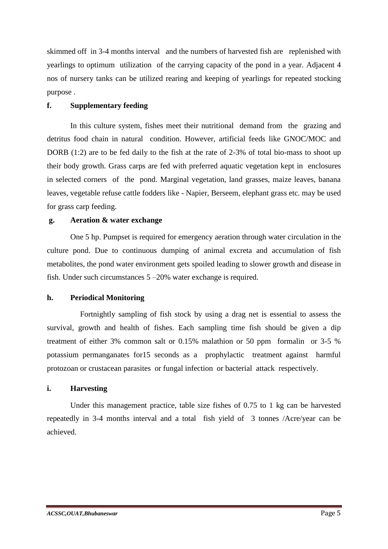skimmed off in 3-4 months interval and the numbers of harvested fish are replenished with yearlings to optimum utilization of the carrying capacity of the pond in a year. Adjacent 4 nos of nursery tanks can be utilized rearing and keeping of yearlings for repeated stocking purpose .

#### **f. Supplementary feeding**

In this culture system, fishes meet their nutritional demand from the grazing and detritus food chain in natural condition. However, artificial feeds like GNOC/MOC and DORB (1:2) are to be fed daily to the fish at the rate of 2-3% of total bio-mass to shoot up their body growth. Grass carps are fed with preferred aquatic vegetation kept in enclosures in selected corners of the pond. Marginal vegetation, land grasses, maize leaves, banana leaves, vegetable refuse cattle fodders like - Napier, Berseem, elephant grass etc. may be used for grass carp feeding.

#### **g. Aeration & water exchange**

One 5 hp. Pumpset is required for emergency aeration through water circulation in the culture pond. Due to continuous dumping of animal excreta and accumulation of fish metabolites, the pond water environment gets spoiled leading to slower growth and disease in fish. Under such circumstances 5 –20% water exchange is required.

#### **h. Periodical Monitoring**

 Fortnightly sampling of fish stock by using a drag net is essential to assess the survival, growth and health of fishes. Each sampling time fish should be given a dip treatment of either 3% common salt or 0.15% malathion or 50 ppm formalin or 3-5 % potassium permanganates for15 seconds as a prophylactic treatment against harmful protozoan or crustacean parasites or fungal infection or bacterial attack respectively.

#### **i. Harvesting**

Under this management practice, table size fishes of 0.75 to 1 kg can be harvested repeatedly in 3-4 months interval and a total fish yield of 3 tonnes /Acre/year can be achieved.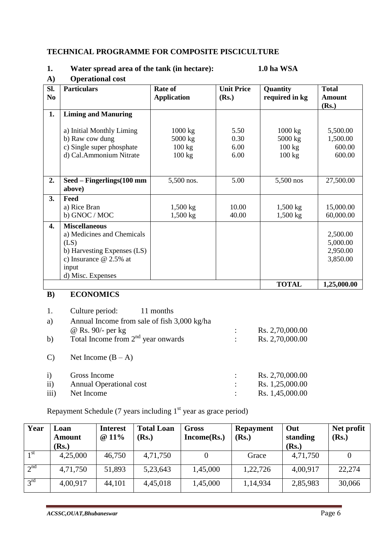#### **TECHNICAL PROGRAMME FOR COMPOSITE PISCICULTURE**

### **1. Water spread area of the tank (in hectare): 1.0 ha WSA**

**A) Operational cost**

| SI.<br>N <sub>0</sub> | <b>Particulars</b>                   | <b>Rate of</b><br><b>Application</b> | <b>Unit Price</b><br>(Rs.) | Quantity<br>required in kg | <b>Total</b><br><b>Amount</b><br>(Rs.) |
|-----------------------|--------------------------------------|--------------------------------------|----------------------------|----------------------------|----------------------------------------|
| 1.                    | <b>Liming and Manuring</b>           |                                      |                            |                            |                                        |
|                       | a) Initial Monthly Liming            | 1000 kg                              | 5.50                       | 1000 kg                    | 5,500.00                               |
|                       | b) Raw cow dung                      | 5000 kg                              | 0.30                       | 5000 kg                    | 1,500.00                               |
|                       | c) Single super phosphate            | $100 \text{ kg}$                     | 6.00                       | $100 \text{ kg}$           | 600.00                                 |
|                       | d) Cal.Ammonium Nitrate              | 100 kg                               | 6.00                       | $100 \text{ kg}$           | 600.00                                 |
|                       |                                      |                                      |                            |                            |                                        |
| 2.                    | Seed – Fingerlings (100 mm<br>above) | 5,500 nos.                           | 5.00                       | 5,500 nos                  | 27,500.00                              |
| 3.                    | Feed                                 |                                      |                            |                            |                                        |
|                       | a) Rice Bran                         | $1,500 \text{ kg}$                   | 10.00                      | $1,500$ kg                 | 15,000.00                              |
|                       | b) GNOC / MOC                        | 1,500 kg                             | 40.00                      | $1,500$ kg                 | 60,000.00                              |
| 4.                    | <b>Miscellaneous</b>                 |                                      |                            |                            |                                        |
|                       | a) Medicines and Chemicals           |                                      |                            |                            | 2,500.00                               |
|                       | (LS)                                 |                                      |                            |                            | 5,000.00                               |
|                       | b) Harvesting Expenses (LS)          |                                      |                            |                            | 2,950.00                               |
|                       | c) Insurance $@$ 2.5% at             |                                      |                            |                            | 3,850.00                               |
|                       | input                                |                                      |                            |                            |                                        |
|                       | d) Misc. Expenses                    |                                      |                            |                            |                                        |
|                       |                                      |                                      |                            | <b>TOTAL</b>               | 1,25,000.00                            |

## **B) ECONOMICS**

| 1.<br>a)                          | Culture period: 11 months                                    | Annual Income from sale of fish 3,000 kg/ha |                                                       |
|-----------------------------------|--------------------------------------------------------------|---------------------------------------------|-------------------------------------------------------|
| b)                                | @ Rs. 90/- per kg<br>Total Income from $2nd$ year onwards    |                                             | Rs. 2,70,000.00<br>Rs. 2,70,000.00                    |
| $\mathbf{C}$                      | Net Income $(B - A)$                                         |                                             |                                                       |
| $\mathbf{i}$<br>$\rm ii)$<br>iii) | Gross Income<br><b>Annual Operational cost</b><br>Net Income |                                             | Rs. 2,70,000.00<br>Rs. 1,25,000.00<br>Rs. 1,45,000.00 |

Repayment Schedule (7 years including  $1<sup>st</sup>$  year as grace period)

| Year            | Loan<br>Amount<br>(Rs.) | <b>Interest</b><br>@ 11% | <b>Total Loan</b><br>(Rs.) | Gross<br>Income(Rs.) | <b>Repayment</b><br>(Rs.) | Out<br>standing<br>(Rs.) | Net profit<br>(Rs.) |
|-----------------|-------------------------|--------------------------|----------------------------|----------------------|---------------------------|--------------------------|---------------------|
| 1 <sup>st</sup> | 4,25,000                | 46,750                   | 4,71,750                   |                      | Grace                     | 4,71,750                 |                     |
| 2 <sup>nd</sup> | 4,71,750                | 51,893                   | 5,23,643                   | 1,45,000             | 1,22,726                  | 4,00,917                 | 22,274              |
| $3^{rd}$        | 4,00,917                | 44,101                   | 4,45,018                   | 1,45,000             | 1,14,934                  | 2,85,983                 | 30,066              |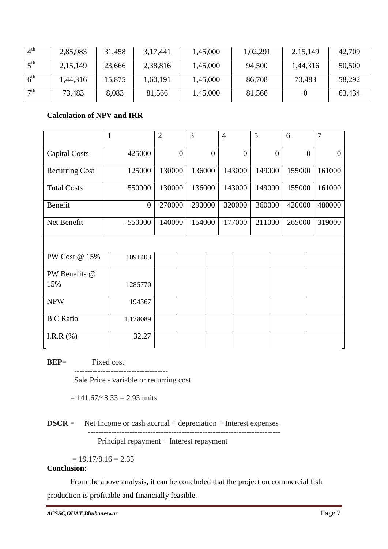| $\Lambda^{\text{th}}$ | 2,85,983 | 31,458 | 3, 17, 441 | 1,45,000 | 1,02,291 | 2, 15, 149 | 42,709 |
|-----------------------|----------|--------|------------|----------|----------|------------|--------|
| $\zeta$ <sup>th</sup> | 2,15,149 | 23,666 | 2,38,816   | 1,45,000 | 94,500   | 1,44,316   | 50,500 |
| $6^{\text{th}}$       | 1,44,316 | 15,875 | 1,60,191   | 1,45,000 | 86,708   | 73,483     | 58,292 |
| $\neg$ th             | 73,483   | 8,083  | 81,566     | 1,45,000 | 81,566   |            | 63,434 |

#### **Calculation of NPV and IRR**

|                       | $\mathbf{1}$   | $\overline{2}$ | 3                | $\overline{4}$ | 5                | 6              | $\overline{7}$ |
|-----------------------|----------------|----------------|------------------|----------------|------------------|----------------|----------------|
| <b>Capital Costs</b>  | 425000         | $\overline{0}$ | $\overline{0}$   | $\overline{0}$ | $\overline{0}$   | $\overline{0}$ | $\theta$       |
| <b>Recurring Cost</b> | 125000         | 130000         | 136000           | 143000         | 149000           | 155000         | 161000         |
| <b>Total Costs</b>    | 550000         | 130000         | 136000<br>143000 |                | 149000           | 155000         | 161000         |
| Benefit               | $\overline{0}$ | 270000         | 290000           | 320000         | 360000           | 420000         | 480000         |
| Net Benefit           | -550000        | 140000         | 154000           | 177000         | 211000<br>265000 |                | 319000         |
|                       |                |                |                  |                |                  |                |                |
| PW Cost @ 15%         | 1091403        |                |                  |                |                  |                |                |
| PW Benefits @         |                |                |                  |                |                  |                |                |
| 15%                   | 1285770        |                |                  |                |                  |                |                |
| <b>NPW</b>            | 194367         |                |                  |                |                  |                |                |
| <b>B.C Ratio</b>      | 1.178089       |                |                  |                |                  |                |                |
| I.R.R $(\% )$         | 32.27          |                |                  |                |                  |                |                |

**BEP**= Fixed cost

------------------------------------

Sale Price - variable or recurring cost

 $= 141.67/48.33 = 2.93$  units

**DSCR** = Net Income or cash accrual + depreciation + Interest expenses

--------------------------------------------------------------------------

Principal repayment + Interest repayment

 $= 19.17/8.16 = 2.35$ 

## **Conclusion:**

 From the above analysis, it can be concluded that the project on commercial fish production is profitable and financially feasible.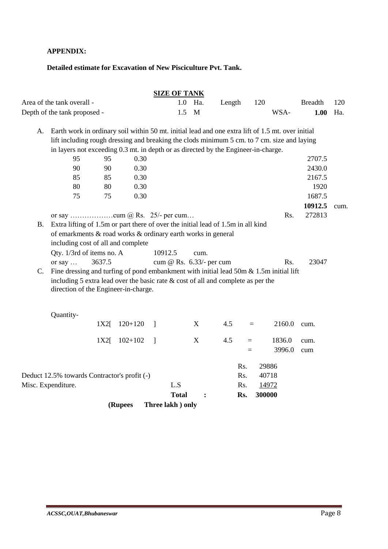#### **APPENDIX:**

#### **Detailed estimate for Excavation of New Pisciculture Pvt. Tank.**

|                            |                                                                                                                                                                                                                                                                                        |         |             |                          | <b>SIZE OF TANK</b> |                |                          |                          |                                                                                               |                |      |
|----------------------------|----------------------------------------------------------------------------------------------------------------------------------------------------------------------------------------------------------------------------------------------------------------------------------------|---------|-------------|--------------------------|---------------------|----------------|--------------------------|--------------------------|-----------------------------------------------------------------------------------------------|----------------|------|
| Area of the tank overall - |                                                                                                                                                                                                                                                                                        |         |             |                          | 1.0                 | Ha.            | Length                   |                          | 120                                                                                           | <b>Breadth</b> | 120  |
|                            | Depth of the tank proposed -                                                                                                                                                                                                                                                           |         |             |                          | 1.5                 |                |                          |                          | WSA-                                                                                          | 1.00           | Ha.  |
| A.                         | Earth work in ordinary soil within 50 mt. initial lead and one extra lift of 1.5 mt. over initial<br>lift including rough dressing and breaking the clods minimum 5 cm. to 7 cm. size and laying<br>in layers not exceeding 0.3 mt. in depth or as directed by the Engineer-in-charge. |         |             |                          |                     |                |                          |                          |                                                                                               |                |      |
|                            | 95                                                                                                                                                                                                                                                                                     | 95      | 0.30        |                          |                     |                |                          |                          |                                                                                               | 2707.5         |      |
|                            | 90                                                                                                                                                                                                                                                                                     | 90      | 0.30        |                          |                     |                |                          |                          |                                                                                               | 2430.0         |      |
|                            | 85                                                                                                                                                                                                                                                                                     | 85      | 0.30        |                          |                     |                |                          |                          |                                                                                               | 2167.5         |      |
|                            | 80                                                                                                                                                                                                                                                                                     | 80      | 0.30        |                          |                     |                |                          |                          |                                                                                               | 1920           |      |
|                            | 75                                                                                                                                                                                                                                                                                     | 75      | 0.30        |                          |                     |                |                          |                          |                                                                                               | 1687.5         |      |
|                            |                                                                                                                                                                                                                                                                                        |         |             |                          |                     |                |                          |                          |                                                                                               | 10912.5        | cum. |
|                            |                                                                                                                                                                                                                                                                                        |         |             |                          |                     |                |                          |                          | Rs.                                                                                           | 272813         |      |
| C.                         | including cost of all and complete<br>Qty. 1/3rd of items no. A<br>or say $\dots$<br>including 5 extra lead over the basic rate $\&$ cost of all and complete as per the<br>direction of the Engineer-in-charge.                                                                       | 3637.5  |             | 10912.5                  |                     | cum.           | cum @ Rs. 6.33/- per cum |                          | Rs.<br>Fine dressing and turfing of pond embankment with initial lead 50m & 1.5m initial lift | 23047          |      |
|                            | Quantity-                                                                                                                                                                                                                                                                              |         |             |                          |                     |                |                          |                          |                                                                                               |                |      |
|                            |                                                                                                                                                                                                                                                                                        | $1X2$ [ | $120 + 120$ | $\overline{\phantom{a}}$ |                     | X              | 4.5                      | $\equiv$                 | 2160.0                                                                                        | cum.           |      |
|                            |                                                                                                                                                                                                                                                                                        | $1X2$ [ | $102 + 102$ | $\mathbf{1}$             |                     | X              | 4.5                      | $=$<br>$=$               | 1836.0<br>3996.0                                                                              | cum.<br>cum    |      |
|                            | Deduct 12.5% towards Contractor's profit (-)<br>Misc. Expenditure.                                                                                                                                                                                                                     |         |             |                          | L.S<br><b>Total</b> | $\ddot{\cdot}$ |                          | Rs.<br>Rs.<br>Rs.<br>Rs. | 29886<br>40718<br>14972<br>300000                                                             |                |      |
|                            |                                                                                                                                                                                                                                                                                        |         | (Rupees     | Three lakh ) only        |                     |                |                          |                          |                                                                                               |                |      |